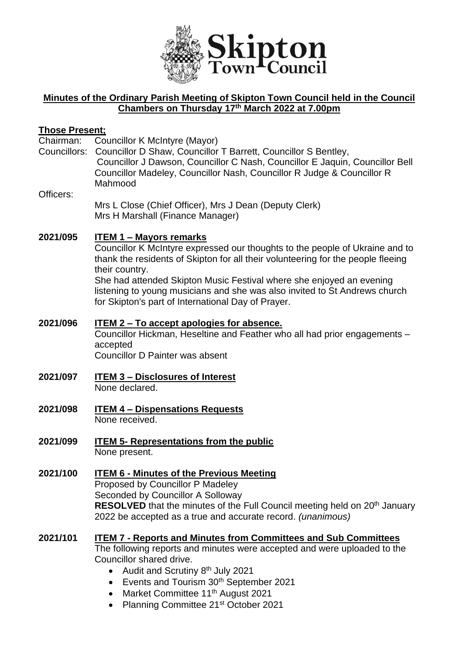

# **Minutes of the Ordinary Parish Meeting of Skipton Town Council held in the Council Chambers on Thursday 17th March 2022 at 7.00pm**

# **Those Present;**

Councillor K McIntyre (Mayor)

Councillors: Councillor D Shaw, Councillor T Barrett, Councillor S Bentley, Councillor J Dawson, Councillor C Nash, Councillor E Jaquin, Councillor Bell Councillor Madeley, Councillor Nash, Councillor R Judge & Councillor R Mahmood

#### Officers:

Mrs L Close (Chief Officer), Mrs J Dean (Deputy Clerk) Mrs H Marshall (Finance Manager)

#### **2021/095 ITEM 1 – Mayors remarks**

Councillor K McIntyre expressed our thoughts to the people of Ukraine and to thank the residents of Skipton for all their volunteering for the people fleeing their country.

She had attended Skipton Music Festival where she enjoyed an evening listening to young musicians and she was also invited to St Andrews church for Skipton's part of International Day of Prayer.

#### **2021/096 ITEM 2 – To accept apologies for absence.**

Councillor Hickman, Heseltine and Feather who all had prior engagements – accepted

Councillor D Painter was absent

- **2021/097 ITEM 3 – Disclosures of Interest** None declared.
- **2021/098 ITEM 4 – Dispensations Requests** None received.
- **2021/099 ITEM 5- Representations from the public** None present.
- **2021/100 ITEM 6 - Minutes of the Previous Meeting** Proposed by Councillor P Madeley Seconded by Councillor A Solloway **RESOLVED** that the minutes of the Full Council meeting held on 20<sup>th</sup> January 2022 be accepted as a true and accurate record. *(unanimous)*

#### **2021/101 ITEM 7 - Reports and Minutes from Committees and Sub Committees** The following reports and minutes were accepted and were uploaded to the Councillor shared drive.

- Audit and Scrutiny 8<sup>th</sup> July 2021
- Events and Tourism 30<sup>th</sup> September 2021
- Market Committee 11<sup>th</sup> August 2021
- Planning Committee 21<sup>st</sup> October 2021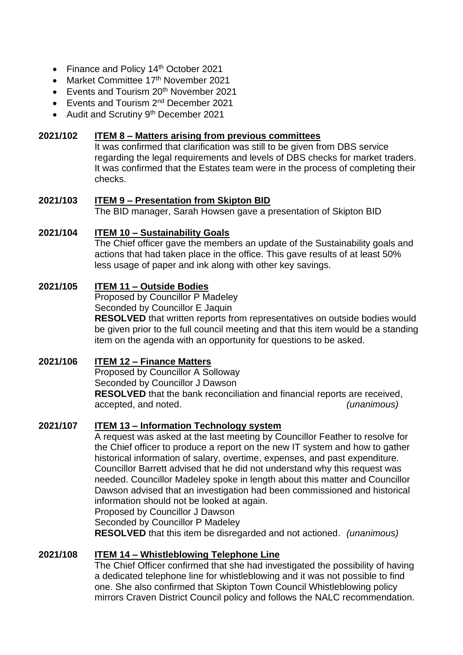- Finance and Policy 14<sup>th</sup> October 2021
- Market Committee 17<sup>th</sup> November 2021
- Events and Tourism  $20<sup>th</sup>$  November 2021
- Events and Tourism 2<sup>nd</sup> December 2021
- Audit and Scrutiny 9<sup>th</sup> December 2021

#### **2021/102 ITEM 8 – Matters arising from previous committees**

It was confirmed that clarification was still to be given from DBS service regarding the legal requirements and levels of DBS checks for market traders. It was confirmed that the Estates team were in the process of completing their checks.

#### **2021/103 ITEM 9 – Presentation from Skipton BID**

The BID manager, Sarah Howsen gave a presentation of Skipton BID

#### **2021/104 ITEM 10 – Sustainability Goals**

The Chief officer gave the members an update of the Sustainability goals and actions that had taken place in the office. This gave results of at least 50% less usage of paper and ink along with other key savings.

#### **2021/105 ITEM 11 – Outside Bodies**

Proposed by Councillor P Madeley Seconded by Councillor E Jaquin

**RESOLVED** that written reports from representatives on outside bodies would be given prior to the full council meeting and that this item would be a standing item on the agenda with an opportunity for questions to be asked.

#### **2021/106 ITEM 12 – Finance Matters**

Proposed by Councillor A Solloway Seconded by Councillor J Dawson **RESOLVED** that the bank reconciliation and financial reports are received, accepted, and noted. *(unanimous)*

#### **2021/107 ITEM 13 – Information Technology system**

A request was asked at the last meeting by Councillor Feather to resolve for the Chief officer to produce a report on the new IT system and how to gather historical information of salary, overtime, expenses, and past expenditure. Councillor Barrett advised that he did not understand why this request was needed. Councillor Madeley spoke in length about this matter and Councillor Dawson advised that an investigation had been commissioned and historical information should not be looked at again.

Proposed by Councillor J Dawson

Seconded by Councillor P Madeley

**RESOLVED** that this item be disregarded and not actioned. *(unanimous)*

#### **2021/108 ITEM 14 – Whistleblowing Telephone Line**

The Chief Officer confirmed that she had investigated the possibility of having a dedicated telephone line for whistleblowing and it was not possible to find one. She also confirmed that Skipton Town Council Whistleblowing policy mirrors Craven District Council policy and follows the NALC recommendation.